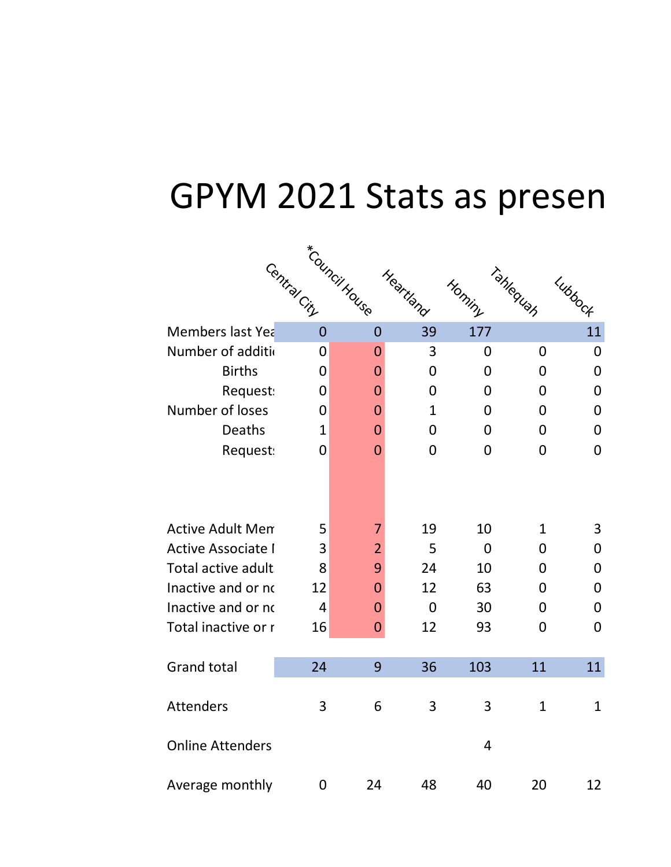## GPYM 2021 Stats as present

|                           | Central City   | *Council House | Heartland      | Hominy         | Tahlequah      | Lubbock        |
|---------------------------|----------------|----------------|----------------|----------------|----------------|----------------|
| Members last Yea          | $\overline{0}$ | $\overline{0}$ | 39             | 177            |                | 11             |
| Number of additio         | 0              | 0              | 3              | 0              | 0              | $\overline{0}$ |
| <b>Births</b>             | 0              | $\mathbf 0$    | $\Omega$       | 0              | 0              | 0              |
| Request:                  | $\overline{0}$ | $\mathbf 0$    | $\mathbf 0$    | 0              | $\overline{0}$ | $\overline{0}$ |
| Number of loses           | $\overline{0}$ | $\overline{0}$ | $\mathbf{1}$   | 0              | 0              | 0              |
| Deaths                    | 1              | $\overline{0}$ | $\Omega$       | 0              | 0              | $\Omega$       |
| Request:                  | 0              | $\overline{0}$ | $\overline{0}$ | 0              | $\overline{0}$ | $\overline{0}$ |
|                           |                |                |                |                |                |                |
| <b>Active Adult Men</b>   | 5              | 7              | 19             | 10             | $\mathbf{1}$   | 3              |
| <b>Active Associate I</b> | 3              | $\overline{2}$ | 5              | $\Omega$       | $\Omega$       | 0              |
| Total active adult        | 8              | 9              | 24             | 10             | 0              | $\mathbf 0$    |
| Inactive and or no        | 12             | $\mathbf 0$    | 12             | 63             | $\overline{0}$ | $\overline{0}$ |
| Inactive and or no        | $\overline{4}$ | $\mathbf{0}$   | $\mathbf 0$    | 30             | 0              | 0              |
| Total inactive or r       | 16             | $\mathbf{0}$   | 12             | 93             | 0              | $\overline{0}$ |
|                           |                |                |                |                |                |                |
| <b>Grand total</b>        | 24             | 9              | 36             | 103            | 11             | 11             |
| <b>Attenders</b>          | 3              | 6              | 3              | 3              | $\mathbf{1}$   | $\mathbf{1}$   |
| <b>Online Attenders</b>   |                |                |                | $\overline{4}$ |                |                |
| Average monthly           | 0              | 24             | 48             | 40             | 20             | 12             |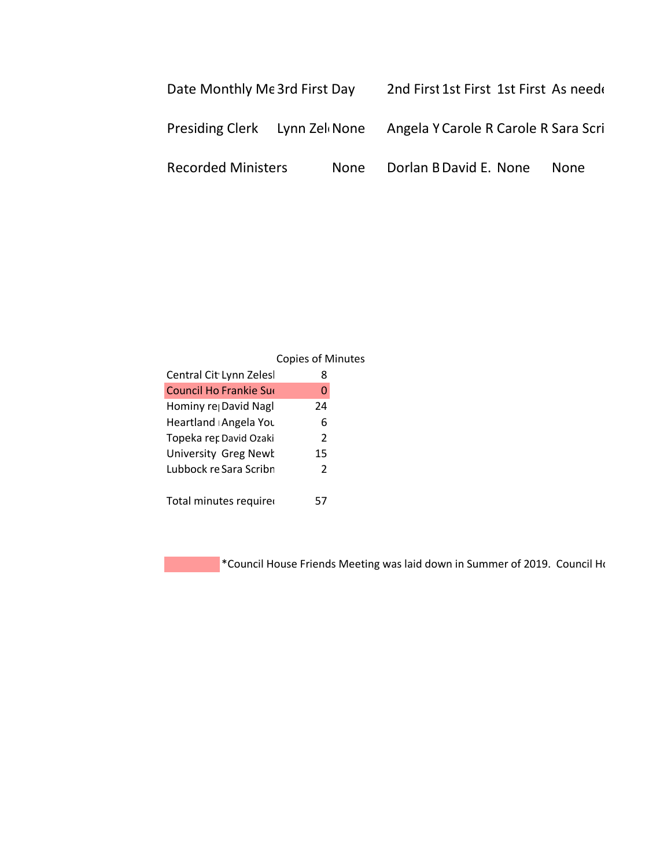| Date Monthly Me 3rd First Day |      |  | 2nd First 1st First 1st First As need                              |             |  |
|-------------------------------|------|--|--------------------------------------------------------------------|-------------|--|
|                               |      |  | Presiding Clerk Lynn Zel None Angela Y Carole R Carole R Sara Scri |             |  |
| <b>Recorded Ministers</b>     | None |  | Dorlan B David E. None                                             | <b>None</b> |  |

|                             | <b>Copies of Minutes</b> |  |
|-----------------------------|--------------------------|--|
| Central Cit Lynn Zelesl     | 8                        |  |
| Council Ho Frankie Sue      | O                        |  |
| Hominy re David Nagl        | 24                       |  |
| Heartland Angela You        | 6                        |  |
| Topeka rer David Ozaki      | $\mathcal{P}$            |  |
| <b>University Greg Newk</b> | 15                       |  |
| Lubbock re Sara Scribn      | $\mathcal{P}$            |  |
|                             |                          |  |
| Total minutes required      | 57                       |  |

\*Council House Friends Meeting was laid down in Summer of 2019. Council House Priends Meeting was laid down in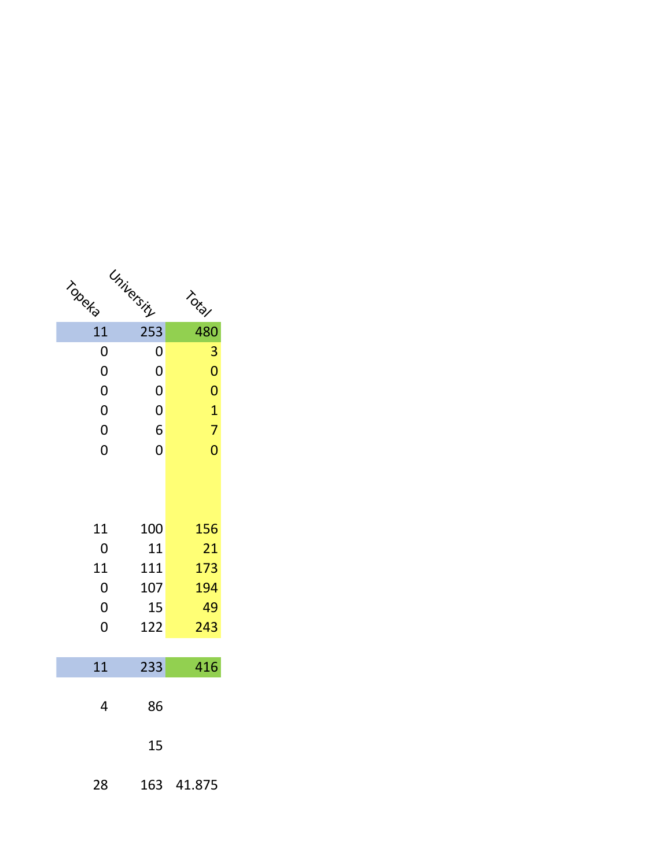| Topeka         | University     | TOLD           |
|----------------|----------------|----------------|
| 11             | 253            | 480            |
| 0              | 0              | 3              |
| $\overline{0}$ | $\overline{0}$ | $\overline{0}$ |
| $\overline{0}$ | $\overline{0}$ | $\overline{0}$ |
| $\overline{0}$ | 0              | $\overline{1}$ |
| 0              | 6              | 7              |
| $\overline{0}$ | $\overline{0}$ | $\overline{0}$ |
|                |                |                |
| 11             | 100            | 156            |
| 0              | 11             | 21             |
| 11             | 111            | 173            |
| $\overline{0}$ | 107            | 194            |
| $\overline{0}$ | 15             | 49             |
| $\overline{0}$ | 122            | 243            |
| 11             | 233            | 416            |
| 4              | 86             |                |
|                | 15             |                |
| 28             | 163            | 41.875         |